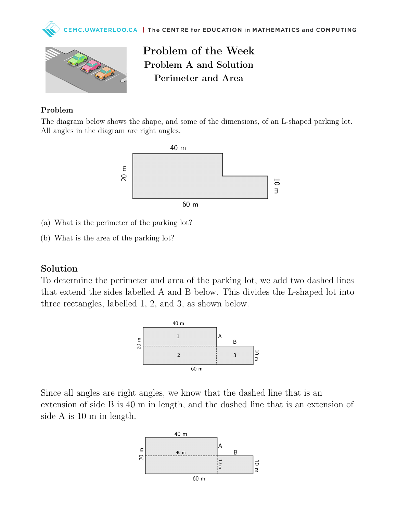



Problem of the Week Problem A and Solution Perimeter and Area

## Problem

The diagram below shows the shape, and some of the dimensions, of an L-shaped parking lot. All angles in the diagram are right angles.



- (a) What is the perimeter of the parking lot?
- (b) What is the area of the parking lot?

## Solution

To determine the perimeter and area of the parking lot, we add two dashed lines that extend the sides labelled A and B below. This divides the L-shaped lot into three rectangles, labelled 1, 2, and 3, as shown below.



Since all angles are right angles, we know that the dashed line that is an extension of side B is 40 m in length, and the dashed line that is an extension of side A is 10 m in length.